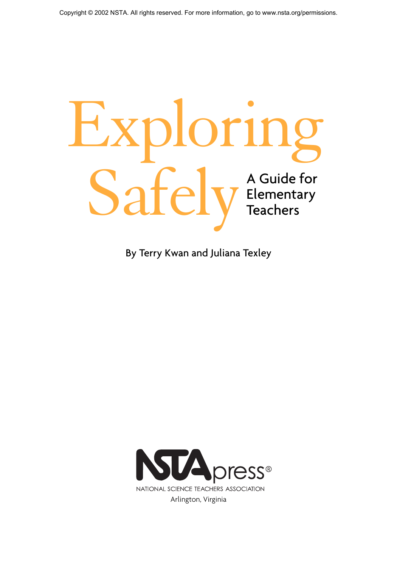# Exploring Safely A Guide for Elementary Teachers

By Terry Kwan and Juliana Texley

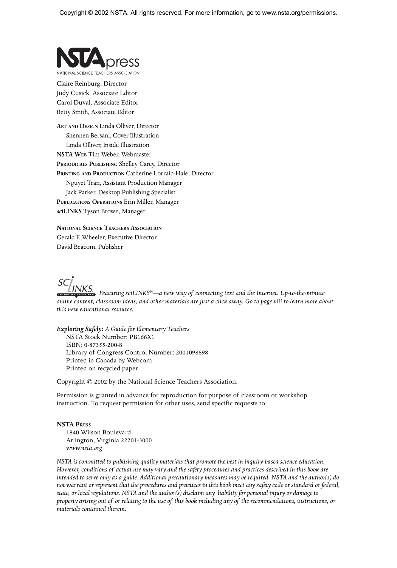

Claire Reinburg, Director Judy Cusick, Associate Editor Carol Duval, Associate Editor Betty Smith, Associate Editor

**ART AND DESIGN** Linda Olliver, Director Shennen Bersani, Cover Illustration Linda Olliver, Inside Illustration **NSTA WEB** Tim Weber, Webmaster **PERIODICALS PUBLISHING** Shelley Carey, Director **PRINTING AND PRODUCTION** Catherine Lorrain-Hale, Director Nguyet Tran, Assistant Production Manager Jack Parker, Desktop Publishing Specialist **PUBLICATIONS OPERATIONs** Erin Miller, Manager *sci***LINKS** Tyson Brown, Manager

**NATIONAL SCIENCE TEACHERS ASSOCIATION** Gerald F. Wheeler, Executive Director David Beacom, Publisher

*Featuring sciLINKS®—a new way of connecting text and the Internet. Up-to-the-minute* online content, classroom ideas, and other materials are just a click away. Go to page viii to learn more about *this new educational resource.*

*Exploring Safely: A Guide for Elementary Teachers* NSTA Stock Number: PB166X1 ISBN: 0-87355-200-8 Library of Congress Control Number: 2001098898 Printed in Canada by Webcom Printed on recycled paper

Copyright © 2002 by the National Science Teachers Association.

Permission is granted in advance for reproduction for purpose of classroom or workshop instruction. To request permission for other uses, send specific requests to:

#### **NSTA PRESS**

1840 Wilson Boulevard Arlington, Virginia 22201-3000 *www.nsta.org*

*NSTA is committed to publishing quality materials that promote the best in inquiry-based science education.* However, conditions of actual use may vary and the safety procedures and practices described in this book are *intended to serve only as a guide. Additional precautionary measures may be required. NSTA and the author(s) do* not warrant or represent that the procedures and practices in this book meet any safety code or standard or federal, state, or local regulations. NSTA and the author(s) disclaim any liability for personal injury or damage to *property arising out of or relating to the use of this book including any of the recommendations, instructions, or materials contained therein.*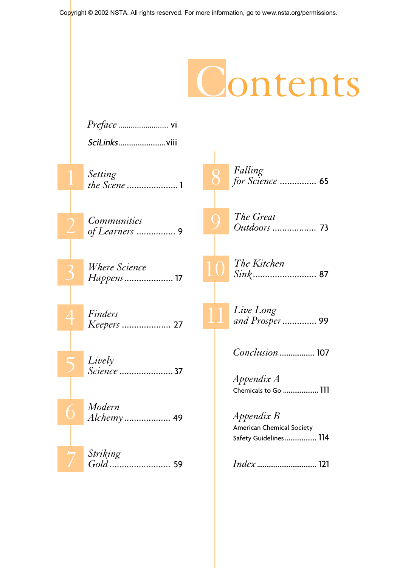# Contents

| Setting<br>the Scene 1               | Falling<br>for Science  65                                        |
|--------------------------------------|-------------------------------------------------------------------|
| <b>Communities</b><br>of Learners  9 | The Great<br>Outdoors  73                                         |
| Where Science                        | The Kitchen                                                       |
| Finders                              | Live Long<br>and Prosper  99                                      |
| Lively                               | Appendix A<br>Chemicals to Go  111                                |
| Modern<br>Alchemy 49                 | Appendix B<br>American Chemical Society<br>Safety Guidelines  114 |
| Striking                             |                                                                   |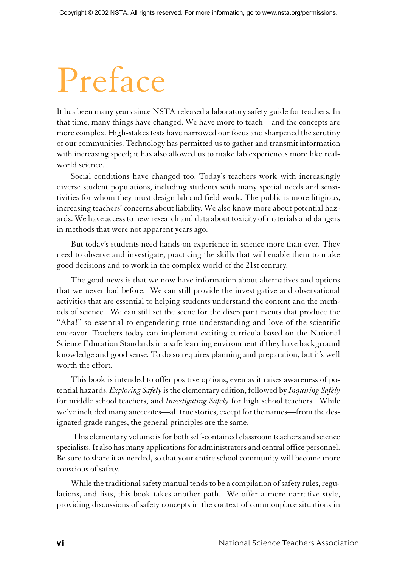# Preface

It has been many years since NSTA released a laboratory safety guide for teachers. In that time, many things have changed. We have more to teach—and the concepts are more complex. High-stakes tests have narrowed our focus and sharpened the scrutiny of our communities. Technology has permitted us to gather and transmit information with increasing speed; it has also allowed us to make lab experiences more like realworld science.

Social conditions have changed too. Today's teachers work with increasingly diverse student populations, including students with many special needs and sensitivities for whom they must design lab and field work. The public is more litigious, increasing teachers' concerns about liability. We also know more about potential hazards. We have access to new research and data about toxicity of materials and dangers in methods that were not apparent years ago.

But today's students need hands-on experience in science more than ever. They need to observe and investigate, practicing the skills that will enable them to make good decisions and to work in the complex world of the 21st century.

The good news is that we now have information about alternatives and options that we never had before. We can still provide the investigative and observational activities that are essential to helping students understand the content and the methods of science. We can still set the scene for the discrepant events that produce the "Aha!" so essential to engendering true understanding and love of the scientific endeavor. Teachers today can implement exciting curricula based on the National Science Education Standards in a safe learning environment if they have background knowledge and good sense. To do so requires planning and preparation, but it's well worth the effort.

This book is intended to offer positive options, even as it raises awareness of potential hazards. *Exploring Safely* is the elementary edition, followed by *Inquiring Safely* for middle school teachers, and *Investigating Safely* for high school teachers. While we've included many anecdotes—all true stories, except for the names—from the designated grade ranges, the general principles are the same.

This elementary volume is for both self-contained classroom teachers and science specialists. It also has many applications for administrators and central office personnel. Be sure to share it as needed, so that your entire school community will become more conscious of safety.

While the traditional safety manual tends to be a compilation of safety rules, regulations, and lists, this book takes another path. We offer a more narrative style, providing discussions of safety concepts in the context of commonplace situations in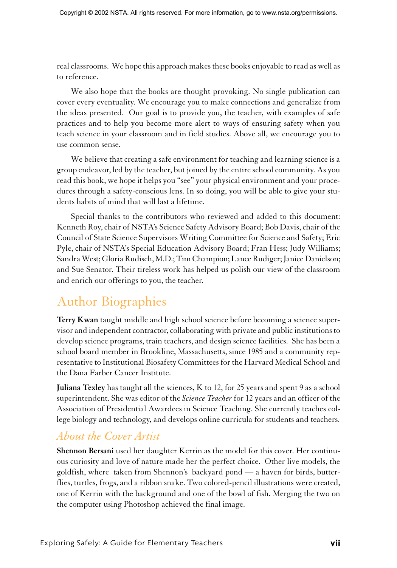real classrooms. We hope this approach makes these books enjoyable to read as well as to reference.

We also hope that the books are thought provoking. No single publication can cover every eventuality. We encourage you to make connections and generalize from the ideas presented. Our goal is to provide you, the teacher, with examples of safe practices and to help you become more alert to ways of ensuring safety when you teach science in your classroom and in field studies. Above all, we encourage you to use common sense.

We believe that creating a safe environment for teaching and learning science is a group endeavor, led by the teacher, but joined by the entire school community. As you read this book, we hope it helps you "see" your physical environment and your procedures through a safety-conscious lens. In so doing, you will be able to give your students habits of mind that will last a lifetime.

Special thanks to the contributors who reviewed and added to this document: Kenneth Roy, chair of NSTA's Science Safety Advisory Board; Bob Davis, chair of the Council of State Science Supervisors Writing Committee for Science and Safety; Eric Pyle, chair of NSTA's Special Education Advisory Board; Fran Hess; Judy Williams; Sandra West; Gloria Rudisch, M.D.; Tim Champion; Lance Rudiger; Janice Danielson; and Sue Senator. Their tireless work has helped us polish our view of the classroom and enrich our offerings to you, the teacher.

## Author Biographies

**Terry Kwan** taught middle and high school science before becoming a science supervisor and independent contractor, collaborating with private and public institutions to develop science programs, train teachers, and design science facilities. She has been a school board member in Brookline, Massachusetts, since 1985 and a community representative to Institutional Biosafety Committees for the Harvard Medical School and the Dana Farber Cancer Institute.

**Juliana Texley** has taught all the sciences, K to 12, for 25 years and spent 9 as a school superintendent. She was editor of the *Science Teacher* for 12 years and an officer of the Association of Presidential Awardees in Science Teaching. She currently teaches college biology and technology, and develops online curricula for students and teachers.

#### *About the Cover Artist*

**Shennon Bersani** used her daughter Kerrin as the model for this cover. Her continuous curiosity and love of nature made her the perfect choice. Other live models, the goldfish, where taken from Shennon's backyard pond — a haven for birds, butterflies, turtles, frogs, and a ribbon snake. Two colored-pencil illustrations were created, one of Kerrin with the background and one of the bowl of fish. Merging the two on the computer using Photoshop achieved the final image.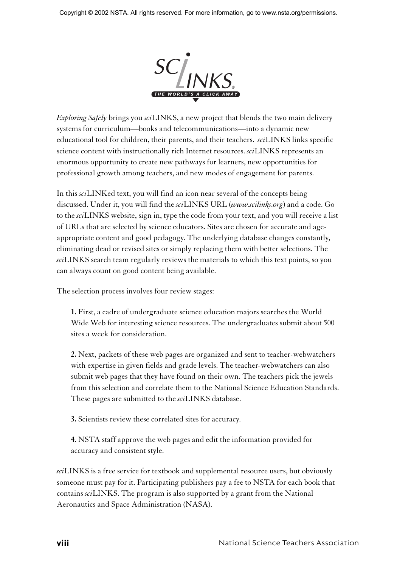

*Exploring Safely* brings you *sci*LINKS, a new project that blends the two main delivery systems for curriculum—books and telecommunications—into a dynamic new educational tool for children, their parents, and their teachers. *sci*LINKS links specific science content with instructionally rich Internet resources. *sci*LINKS represents an enormous opportunity to create new pathways for learners, new opportunities for professional growth among teachers, and new modes of engagement for parents.

In this *sci*LINKed text, you will find an icon near several of the concepts being discussed. Under it, you will find the *sci*LINKS URL (*www.scilinks.org*) and a code. Go to the *sci*LINKS website, sign in, type the code from your text, and you will receive a list of URLs that are selected by science educators. Sites are chosen for accurate and ageappropriate content and good pedagogy. The underlying database changes constantly, eliminating dead or revised sites or simply replacing them with better selections. The *sci*LINKS search team regularly reviews the materials to which this text points, so you can always count on good content being available.

The selection process involves four review stages:

**1.** First, a cadre of undergraduate science education majors searches the World Wide Web for interesting science resources. The undergraduates submit about 500 sites a week for consideration.

**2.** Next, packets of these web pages are organized and sent to teacher-webwatchers with expertise in given fields and grade levels. The teacher-webwatchers can also submit web pages that they have found on their own. The teachers pick the jewels from this selection and correlate them to the National Science Education Standards. These pages are submitted to the *sci*LINKS database.

**3.** Scientists review these correlated sites for accuracy.

**4.** NSTA staff approve the web pages and edit the information provided for accuracy and consistent style.

*sci*LINKS is a free service for textbook and supplemental resource users, but obviously someone must pay for it. Participating publishers pay a fee to NSTA for each book that contains *sci*LINKS. The program is also supported by a grant from the National Aeronautics and Space Administration (NASA).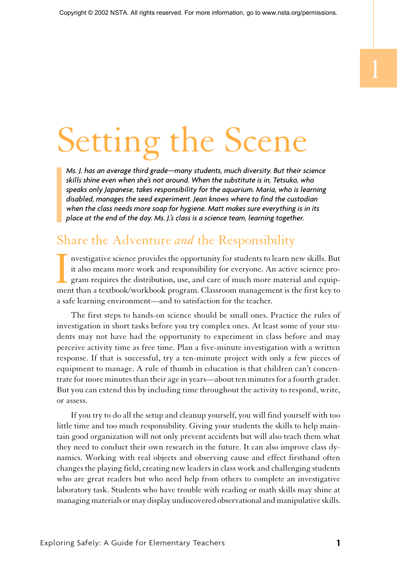# Setting the Scene

*Ms. J. has an average third grade—many students, much diversity. But their science skills shine even when she's not around. When the substitute is in, Tetsuko, who speaks only Japanese, takes responsibility for the aquarium. Maria, who is learning disabled, manages the seed experiment. Jean knows where to find the custodian when the class needs more soap for hygiene. Matt makes sure everything is in its place at the end of the day. Ms. J.'s class is a science team, learning together.*

#### Share the Adventure *and* the Responsibility

Investigative science provides the opportunity for students to learn new skills. But<br>it also means more work and responsibility for everyone. An active science pro-<br>gram requires the distribution, use, and care of much mor nvestigative science provides the opportunity for students to learn new skills. But it also means more work and responsibility for everyone. An active science program requires the distribution, use, and care of much more material and equipa safe learning environment—and to satisfaction for the teacher.

The first steps to hands-on science should be small ones. Practice the rules of investigation in short tasks before you try complex ones. At least some of your students may not have had the opportunity to experiment in class before and may perceive activity time as free time. Plan a five-minute investigation with a written response. If that is successful, try a ten-minute project with only a few pieces of equipment to manage. A rule of thumb in education is that children can't concentrate for more minutesthan their age in years—about ten minutes for a fourth grader. But you can extend this by including time throughout the activity to respond, write, or assess.

If you try to do all the setup and cleanup yourself, you will find yourself with too little time and too much responsibility. Giving your students the skills to help maintain good organization will not only prevent accidents but will also teach them what they need to conduct their own research in the future. It can also improve class dynamics. Working with real objects and observing cause and effect firsthand often changes the playing field, creating new leaders in class work and challenging students who are great readers but who need help from others to complete an investigative laboratory task. Students who have trouble with reading or math skills may shine at managing materials or may display undiscovered observational and manipulative skills.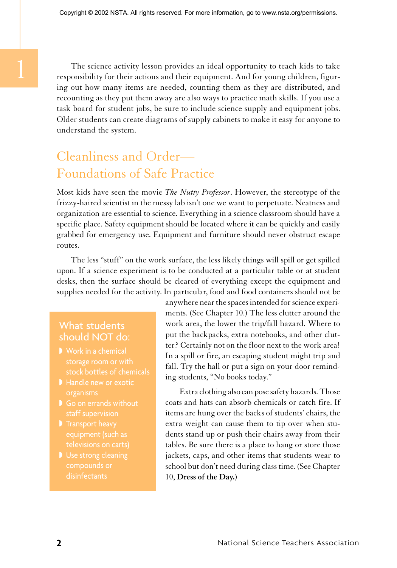The science activity lesson provides an ideal opportunity to teach kids to take responsibility for their actions and their equipment. And for young children, figuring out how many items are needed, counting them as they are distributed, and recounting as they put them away are also ways to practice math skills. If you use a task board for student jobs, be sure to include science supply and equipment jobs. Older students can create diagrams of supply cabinets to make it easy for anyone to understand the system.

### Cleanliness and Order— Foundations of Safe Practice

Most kids have seen the movie *The Nutty Professor*. However, the stereotype of the frizzy-haired scientist in the messy lab isn't one we want to perpetuate. Neatness and organization are essential to science. Everything in a science classroom should have a specific place. Safety equipment should be located where it can be quickly and easily grabbed for emergency use. Equipment and furniture should never obstruct escape routes.

The less "stuff" on the work surface, the less likely things will spill or get spilled upon. If a science experiment is to be conducted at a particular table or at student desks, then the surface should be cleared of everything except the equipment and supplies needed for the activity. In particular, food and food containers should not be

#### What students should NOT do:

- Work in a chemical storage room or with stock bottles of chemicals
- Handle new or exotic
- Go on errands without staff supervision
- equipment (such as televisions on carts)
- compounds or disinfectants

anywhere near the spaces intended for science experiments. (See Chapter 10.) The less clutter around the work area, the lower the trip/fall hazard. Where to put the backpacks, extra notebooks, and other clutter? Certainly not on the floor next to the work area! In a spill or fire, an escaping student might trip and fall. Try the hall or put a sign on your door reminding students, "No books today."

Extra clothing also can pose safety hazards. Those coats and hats can absorb chemicals or catch fire. If items are hung over the backs of students' chairs, the extra weight can cause them to tip over when students stand up or push their chairs away from their tables. Be sure there is a place to hang or store those jackets, caps, and other items that students wear to school but don't need during class time. (See Chapter 10, **Dress of the Day.**)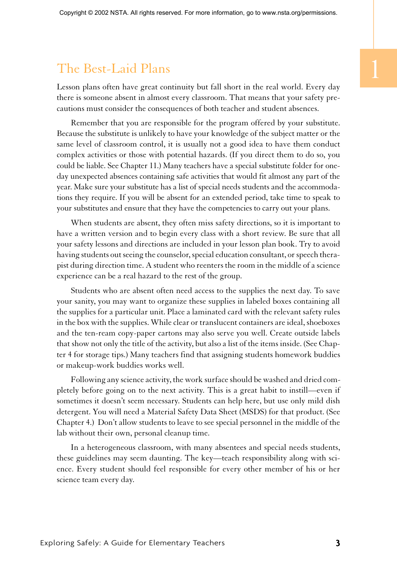#### The Best-Laid Plans 1

Lesson plans often have great continuity but fall short in the real world. Every day there is someone absent in almost every classroom. That means that your safety precautions must consider the consequences of both teacher and student absences.

Remember that you are responsible for the program offered by your substitute. Because the substitute is unlikely to have your knowledge of the subject matter or the same level of classroom control, it is usually not a good idea to have them conduct complex activities or those with potential hazards. (If you direct them to do so, you could be liable. See Chapter 11.) Many teachers have a special substitute folder for oneday unexpected absences containing safe activities that would fit almost any part of the year. Make sure your substitute has a list of special needs students and the accommodations they require. If you will be absent for an extended period, take time to speak to your substitutes and ensure that they have the competencies to carry out your plans.

When students are absent, they often miss safety directions, so it is important to have a written version and to begin every class with a short review. Be sure that all your safety lessons and directions are included in your lesson plan book. Try to avoid having students out seeing the counselor, special education consultant, or speech therapist during direction time. A student who reenters the room in the middle of a science experience can be a real hazard to the rest of the group.

Students who are absent often need access to the supplies the next day. To save your sanity, you may want to organize these supplies in labeled boxes containing all the supplies for a particular unit. Place a laminated card with the relevant safety rules in the box with the supplies. While clear or translucent containers are ideal, shoeboxes and the ten-ream copy-paper cartons may also serve you well. Create outside labels that show not only the title of the activity, but also a list of the items inside. (See Chapter 4 for storage tips.) Many teachers find that assigning students homework buddies or makeup-work buddies works well.

Following any science activity, the work surface should be washed and dried completely before going on to the next activity. This is a great habit to instill—even if sometimes it doesn't seem necessary. Students can help here, but use only mild dish detergent. You will need a Material Safety Data Sheet (MSDS) for that product. (See Chapter 4.) Don't allow students to leave to see special personnel in the middle of the lab without their own, personal cleanup time.

In a heterogeneous classroom, with many absentees and special needs students, these guidelines may seem daunting. The key—teach responsibility along with science. Every student should feel responsible for every other member of his or her science team every day.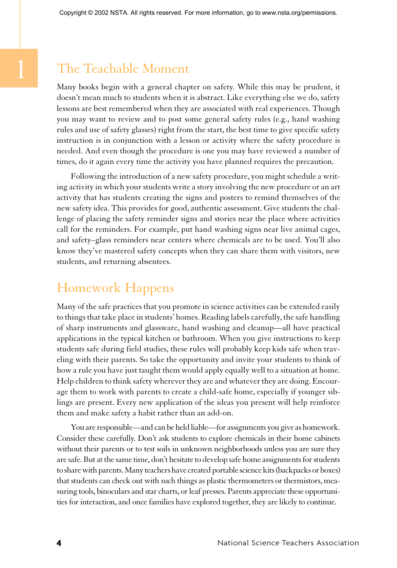#### The Teachable Moment

Many books begin with a general chapter on safety. While this may be prudent, it doesn't mean much to students when it is abstract. Like everything else we do, safety lessons are best remembered when they are associated with real experiences. Though you may want to review and to post some general safety rules (e.g., hand washing rules and use of safety glasses) right from the start, the best time to give specific safety instruction is in conjunction with a lesson or activity where the safety procedure is needed. And even though the procedure is one you may have reviewed a number of times, do it again every time the activity you have planned requires the precaution.

Following the introduction of a new safety procedure, you might schedule a writing activity in which your students write a story involving the new procedure or an art activity that has students creating the signs and posters to remind themselves of the new safety idea. This provides for good, authentic assessment. Give students the challenge of placing the safety reminder signs and stories near the place where activities call for the reminders. For example, put hand washing signs near live animal cages, and safety–glass reminders near centers where chemicals are to be used. You'll also know they've mastered safety concepts when they can share them with visitors, new students, and returning absentees.

#### Homework Happens

Many of the safe practices that you promote in science activities can be extended easily to things that take place in students' homes. Reading labels carefully, the safe handling of sharp instruments and glassware, hand washing and cleanup—all have practical applications in the typical kitchen or bathroom. When you give instructions to keep students safe during field studies, these rules will probably keep kids safe when traveling with their parents. So take the opportunity and invite your students to think of how a rule you have just taught them would apply equally well to a situation at home. Help children to think safety wherever they are and whatever they are doing. Encourage them to work with parents to create a child-safe home, especially if younger siblings are present. Every new application of the ideas you present will help reinforce them and make safety a habit rather than an add-on.

You are responsible—and can be held liable—for assignments you give as homework. Consider these carefully. Don't ask students to explore chemicals in their home cabinets without their parents or to test soils in unknown neighborhoods unless you are sure they are safe. But at the same time, don't hesitate to develop safe home assignments for students to share with parents. Many teachers have created portable science kits (backpacks or boxes) that students can check out with such things as plastic thermometers or thermistors, measuring tools, binoculars and star charts, or leaf presses. Parents appreciate these opportunities for interaction, and once families have explored together, they are likely to continue.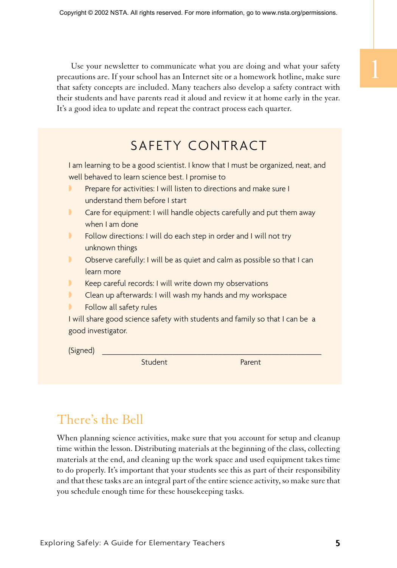Use your newsletter to communicate what you are doing and what your safety<br>precautions are. If your school has an Internet site or a homework hotline, make sure that safety concepts are included. Many teachers also develop a safety contract with their students and have parents read it aloud and review it at home early in the year. It's a good idea to update and repeat the contract process each quarter.

### SAFETY CONTRACT

I am learning to be a good scientist. I know that I must be organized, neat, and well behaved to learn science best. I promise to

- Prepare for activities: I will listen to directions and make sure I understand them before I start
- **Care for equipment: I will handle objects carefully and put them away** when I am done
- **Follow directions: I will do each step in order and I will not try** unknown things
- **Observe carefully: I will be as quiet and calm as possible so that I can** learn more
- **I** Keep careful records: I will write down my observations
- **I** Clean up afterwards: I will wash my hands and my workspace
- Follow all safety rules

I will share good science safety with students and family so that I can be a good investigator.

 $(\text{Signed})$   $\blacksquare$ 

Student Parent

# There's the Bell

When planning science activities, make sure that you account for setup and cleanup time within the lesson. Distributing materials at the beginning of the class, collecting materials at the end, and cleaning up the work space and used equipment takes time to do properly. It's important that your students see this as part of their responsibility and that these tasks are an integral part of the entire science activity, so make sure that you schedule enough time for these housekeeping tasks.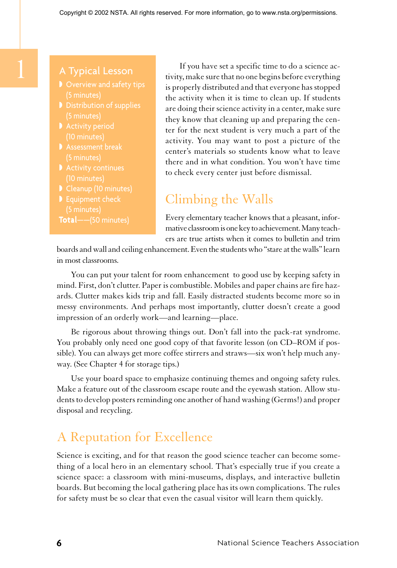#### A Typical Lesson

- Overview and safety tips
- Distribution of supplies
- **▶ Activity period** (10 minutes)
- Assessment break
- (10 minutes)
- 
- 

#### Total——(50 minutes)

If you have set a specific time to do a science activity, make sure that no one begins before everything is properly distributed and that everyone has stopped the activity when it is time to clean up. If students are doing their science activity in a center, make sure they know that cleaning up and preparing the center for the next student is very much a part of the activity. You may want to post a picture of the center's materials so students know what to leave there and in what condition. You won't have time to check every center just before dismissal.

#### Climbing the Walls

Every elementary teacher knows that a pleasant, informative classroom is one key to achievement. Many teachers are true artists when it comes to bulletin and trim

boards and wall and ceiling enhancement. Even the students who "stare at the walls" learn in most classrooms.

You can put your talent for room enhancement to good use by keeping safety in mind. First, don't clutter. Paper is combustible. Mobiles and paper chains are fire hazards. Clutter makes kids trip and fall. Easily distracted students become more so in messy environments. And perhaps most importantly, clutter doesn't create a good impression of an orderly work—and learning—place.

Be rigorous about throwing things out. Don't fall into the pack-rat syndrome. You probably only need one good copy of that favorite lesson (on CD–ROM if possible). You can always get more coffee stirrers and straws—six won't help much anyway. (See Chapter 4 for storage tips.)

Use your board space to emphasize continuing themes and ongoing safety rules. Make a feature out of the classroom escape route and the eyewash station. Allow students to develop posters reminding one another of hand washing (Germs!) and proper disposal and recycling.

#### A Reputation for Excellence

Science is exciting, and for that reason the good science teacher can become something of a local hero in an elementary school. That's especially true if you create a science space: a classroom with mini-museums, displays, and interactive bulletin boards. But becoming the local gathering place has its own complications. The rules for safety must be so clear that even the casual visitor will learn them quickly.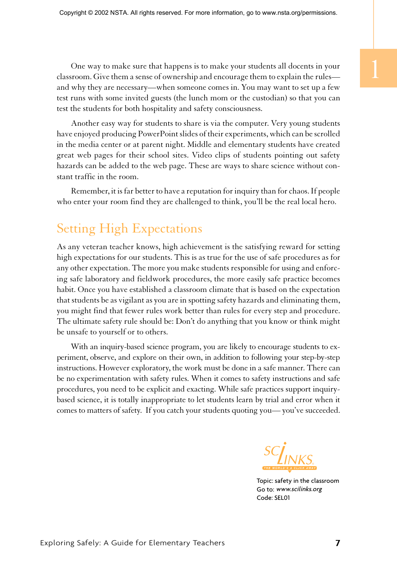1 One way to make sure that happens is to make your students all docents in your classroom. Give them a sense of ownership and encourage them to explain the rules and why they are necessary—when someone comes in. You may want to set up a few test runs with some invited guests (the lunch mom or the custodian) so that you can test the students for both hospitality and safety consciousness.

Another easy way for students to share is via the computer. Very young students have enjoyed producing PowerPoint slides of their experiments, which can be scrolled in the media center or at parent night. Middle and elementary students have created great web pages for their school sites. Video clips of students pointing out safety hazards can be added to the web page. These are ways to share science without constant traffic in the room.

Remember, it is far better to have a reputation for inquiry than for chaos. If people who enter your room find they are challenged to think, you'll be the real local hero.

#### Setting High Expectations

As any veteran teacher knows, high achievement is the satisfying reward for setting high expectations for our students. This is as true for the use of safe procedures as for any other expectation. The more you make students responsible for using and enforcing safe laboratory and fieldwork procedures, the more easily safe practice becomes habit. Once you have established a classroom climate that is based on the expectation that students be as vigilant as you are in spotting safety hazards and eliminating them, you might find that fewer rules work better than rules for every step and procedure. The ultimate safety rule should be: Don't do anything that you know or think might be unsafe to yourself or to others.

With an inquiry-based science program, you are likely to encourage students to experiment, observe, and explore on their own, in addition to following your step-by-step instructions. However exploratory, the work must be done in a safe manner. There can be no experimentation with safety rules. When it comes to safety instructions and safe procedures, you need to be explicit and exacting. While safe practices support inquirybased science, it is totally inappropriate to let students learn by trial and error when it comes to matters of safety. If you catch your students quoting you— you've succeeded.

 $SG$ 

Topic: safety in the classroom Go to: www.scilinks.org Code: SEL01